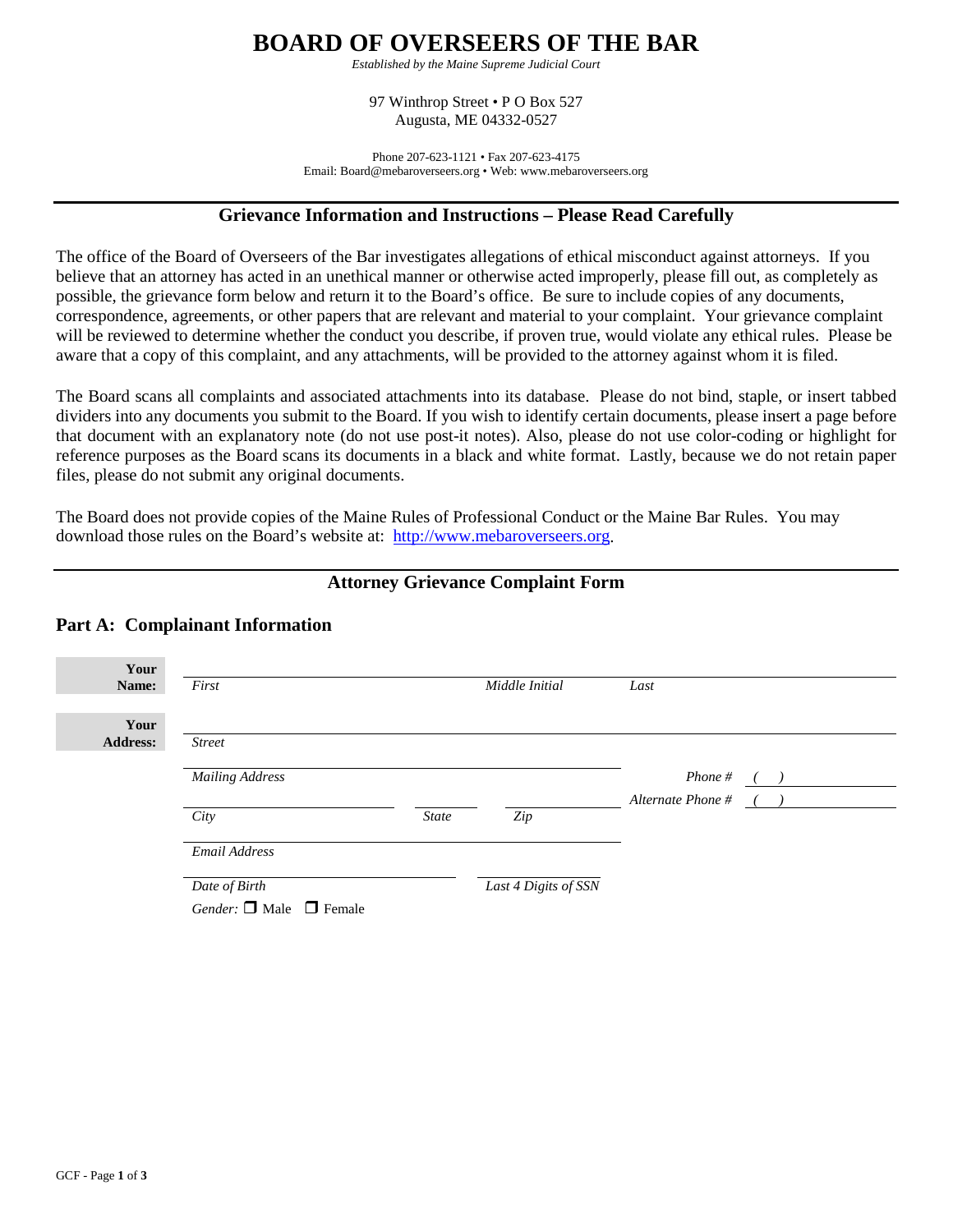# **BOARD OF OVERSEERS OF THE BAR**

*Established by the Maine Supreme Judicial Court*

97 Winthrop Street • P O Box 527 Augusta, ME 04332-0527

Phone 207-623-1121 • Fax 207-623-4175 Email: Board@mebaroverseers.org • Web: www.mebaroverseers.org

#### **Grievance Information and Instructions – Please Read Carefully**

The office of the Board of Overseers of the Bar investigates allegations of ethical misconduct against attorneys. If you believe that an attorney has acted in an unethical manner or otherwise acted improperly, please fill out, as completely as possible, the grievance form below and return it to the Board's office. Be sure to include copies of any documents, correspondence, agreements, or other papers that are relevant and material to your complaint. Your grievance complaint will be reviewed to determine whether the conduct you describe, if proven true, would violate any ethical rules. Please be aware that a copy of this complaint, and any attachments, will be provided to the attorney against whom it is filed.

The Board scans all complaints and associated attachments into its database. Please do not bind, staple, or insert tabbed dividers into any documents you submit to the Board. If you wish to identify certain documents, please insert a page before that document with an explanatory note (do not use post-it notes). Also, please do not use color-coding or highlight for reference purposes as the Board scans its documents in a black and white format. Lastly, because we do not retain paper files, please do not submit any original documents.

The Board does not provide copies of the Maine Rules of Professional Conduct or the Maine Bar Rules. You may download those rules on the Board's website at: [http://www.mebaroverseers.org.](http://www.mebaroverseers.org/)

## **Attorney Grievance Complaint Form**

| First                                              |       | Middle Initial       | Last                    |  |
|----------------------------------------------------|-------|----------------------|-------------------------|--|
| <b>Street</b>                                      |       |                      |                         |  |
| <b>Mailing Address</b>                             |       |                      | Phone # $($ $)$         |  |
| City                                               | State | Zip                  | Alternate Phone $#$ ( ) |  |
| Email Address                                      |       |                      |                         |  |
| Date of Birth<br>Gender: $\Box$ Male $\Box$ Female |       | Last 4 Digits of SSN |                         |  |
|                                                    |       |                      |                         |  |

## **Part A: Complainant Information**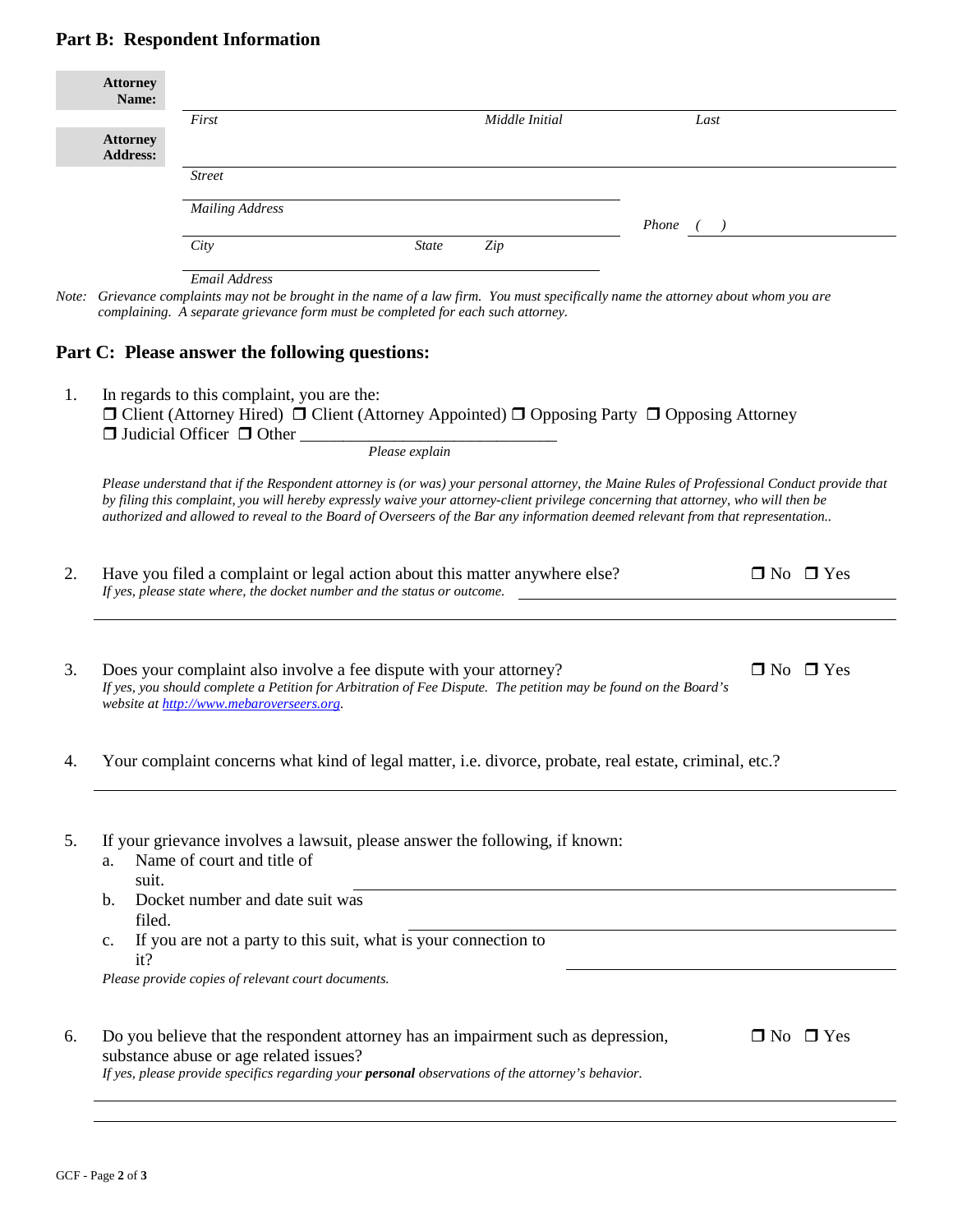#### **Part B: Respondent Information**

|    | <b>Attorney</b><br>Name:           |                                                                                                                 |                |                                                                                                                                                                                                                                                                                                                                                                                                                     |             |                      |
|----|------------------------------------|-----------------------------------------------------------------------------------------------------------------|----------------|---------------------------------------------------------------------------------------------------------------------------------------------------------------------------------------------------------------------------------------------------------------------------------------------------------------------------------------------------------------------------------------------------------------------|-------------|----------------------|
|    | <b>Attorney</b><br><b>Address:</b> | First                                                                                                           |                | Middle Initial                                                                                                                                                                                                                                                                                                                                                                                                      | Last        |                      |
|    |                                    | <b>Street</b>                                                                                                   |                |                                                                                                                                                                                                                                                                                                                                                                                                                     |             |                      |
|    |                                    | <b>Mailing Address</b>                                                                                          |                |                                                                                                                                                                                                                                                                                                                                                                                                                     |             |                      |
|    |                                    | City                                                                                                            | <b>State</b>   | Zip                                                                                                                                                                                                                                                                                                                                                                                                                 | Phone $($ ) |                      |
|    |                                    | <b>Email Address</b>                                                                                            |                |                                                                                                                                                                                                                                                                                                                                                                                                                     |             |                      |
|    |                                    | complaining. A separate grievance form must be completed for each such attorney.                                |                | Note: Grievance complaints may not be brought in the name of a law firm. You must specifically name the attorney about whom you are                                                                                                                                                                                                                                                                                 |             |                      |
|    |                                    | Part C: Please answer the following questions:                                                                  |                |                                                                                                                                                                                                                                                                                                                                                                                                                     |             |                      |
| 1. |                                    | In regards to this complaint, you are the:                                                                      | Please explain | $\Box$ Client (Attorney Hired) $\Box$ Client (Attorney Appointed) $\Box$ Opposing Party $\Box$ Opposing Attorney                                                                                                                                                                                                                                                                                                    |             |                      |
|    |                                    |                                                                                                                 |                | Please understand that if the Respondent attorney is (or was) your personal attorney, the Maine Rules of Professional Conduct provide that<br>by filing this complaint, you will hereby expressly waive your attorney-client privilege concerning that attorney, who will then be<br>authorized and allowed to reveal to the Board of Overseers of the Bar any information deemed relevant from that representation |             |                      |
| 2. |                                    | If yes, please state where, the docket number and the status or outcome.                                        |                | Have you filed a complaint or legal action about this matter anywhere else?                                                                                                                                                                                                                                                                                                                                         |             | $\Box$ No $\Box$ Yes |
| 3. |                                    | Does your complaint also involve a fee dispute with your attorney?<br>website at http://www.mebaroverseers.org. |                | If yes, you should complete a Petition for Arbitration of Fee Dispute. The petition may be found on the Board's                                                                                                                                                                                                                                                                                                     |             | $\Box$ No $\Box$ Yes |
| 4. |                                    |                                                                                                                 |                | Your complaint concerns what kind of legal matter, i.e. divorce, probate, real estate, criminal, etc.?                                                                                                                                                                                                                                                                                                              |             |                      |
| 5. | a.<br>suit.                        | Name of court and title of                                                                                      |                | If your grievance involves a lawsuit, please answer the following, if known:                                                                                                                                                                                                                                                                                                                                        |             |                      |
|    | $\mathbf{b}$ .<br>filed.           | Docket number and date suit was                                                                                 |                |                                                                                                                                                                                                                                                                                                                                                                                                                     |             |                      |
|    | $\mathbf{c}$ .                     | If you are not a party to this suit, what is your connection to                                                 |                |                                                                                                                                                                                                                                                                                                                                                                                                                     |             |                      |
|    | it?                                | Please provide copies of relevant court documents.                                                              |                |                                                                                                                                                                                                                                                                                                                                                                                                                     |             |                      |
| 6. |                                    | substance abuse or age related issues?                                                                          |                | Do you believe that the respondent attorney has an impairment such as depression,<br>If yes, please provide specifics regarding your personal observations of the attorney's behavior.                                                                                                                                                                                                                              |             | $\Box$ No $\Box$ Yes |